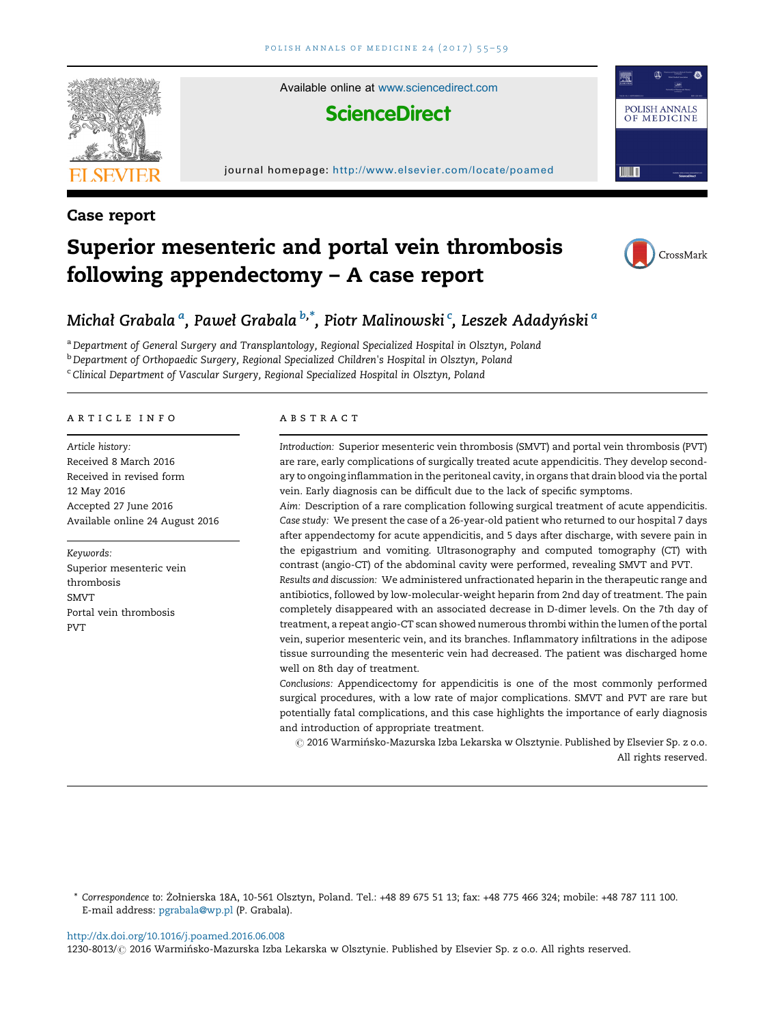

Available online at [www.sciencedirect.com](http://www.sciencedirect.com/science/journal/12308013)

## **ScienceDirect**

#### journal homepage: <http://www.elsevier.com/locate/poamed>

## Case report



POLISH ANNALS OF MEDICINE

**TITULA** 

# Superior mesenteric and portal vein thrombosis following appendectomy – A case report

## Michał Grabala <sup>a</sup>, Paweł Grabala <sup>b,\*</sup>, Piotr Malinowski <sup>c</sup>, Leszek Adadyński <sup>a</sup>

a Department of General Surgery and Transplantology, Regional Specialized Hospital in Olsztyn, Poland

<sup>b</sup> Department of Orthopaedic Surgery, Regional Specialized Children's Hospital in Olsztyn, Poland

<sup>c</sup> Clinical Department of Vascular Surgery, Regional Specialized Hospital in Olsztyn, Poland

#### article info

Article history: Received 8 March 2016 Received in revised form 12 May 2016 Accepted 27 June 2016 Available online 24 August 2016

Keywords: Superior mesenteric vein thrombosis SMVT Portal vein thrombosis PVT

#### **ABSTRACT**

Introduction: Superior mesenteric vein thrombosis (SMVT) and portal vein thrombosis (PVT) are rare, early complications of surgically treated acute appendicitis. They develop secondary to ongoing inflammation in the peritoneal cavity, in organs that drain blood via the portal vein. Early diagnosis can be difficult due to the lack of specific symptoms.

Aim: Description of a rare complication following surgical treatment of acute appendicitis. Case study: We present the case of a 26-year-old patient who returned to our hospital 7 days after appendectomy for acute appendicitis, and 5 days after discharge, with severe pain in the epigastrium and vomiting. Ultrasonography and computed tomography (CT) with contrast (angio-CT) of the abdominal cavity were performed, revealing SMVT and PVT.

Results and discussion: We administered unfractionated heparin in the therapeutic range and antibiotics, followed by low-molecular-weight heparin from 2nd day of treatment. The pain completely disappeared with an associated decrease in D-dimer levels. On the 7th day of treatment, a repeat angio-CT scan showed numerous thrombi within the lumen of the portal vein, superior mesenteric vein, and its branches. Inflammatory infiltrations in the adipose tissue surrounding the mesenteric vein had decreased. The patient was discharged home well on 8th day of treatment.

Conclusions: Appendicectomy for appendicitis is one of the most commonly performed surgical procedures, with a low rate of major complications. SMVT and PVT are rare but potentially fatal complications, and this case highlights the importance of early diagnosis and introduction of appropriate treatment.

 $\odot$  2016 Warmińsko-Mazurska Izba Lekarska w Olsztynie. Published by Elsevier Sp. z o.o. All rights reserved.

\* Correspondence to: Żołnierska 18A, 10-561 Olsztyn, Poland. Tel.: +48 89 675 51 13; fax: +48 775 466 324; mobile: +48 787 111 100. E-mail address: [pgrabala@wp.pl](mailto:pgrabala@wp.pl) (P. Grabala).

<http://dx.doi.org/10.1016/j.poamed.2016.06.008>

1230-8013/ @ 2016 Warmińsko-Mazurska Izba Lekarska w Olsztynie. Published by Elsevier Sp. z o.o. All rights reserved.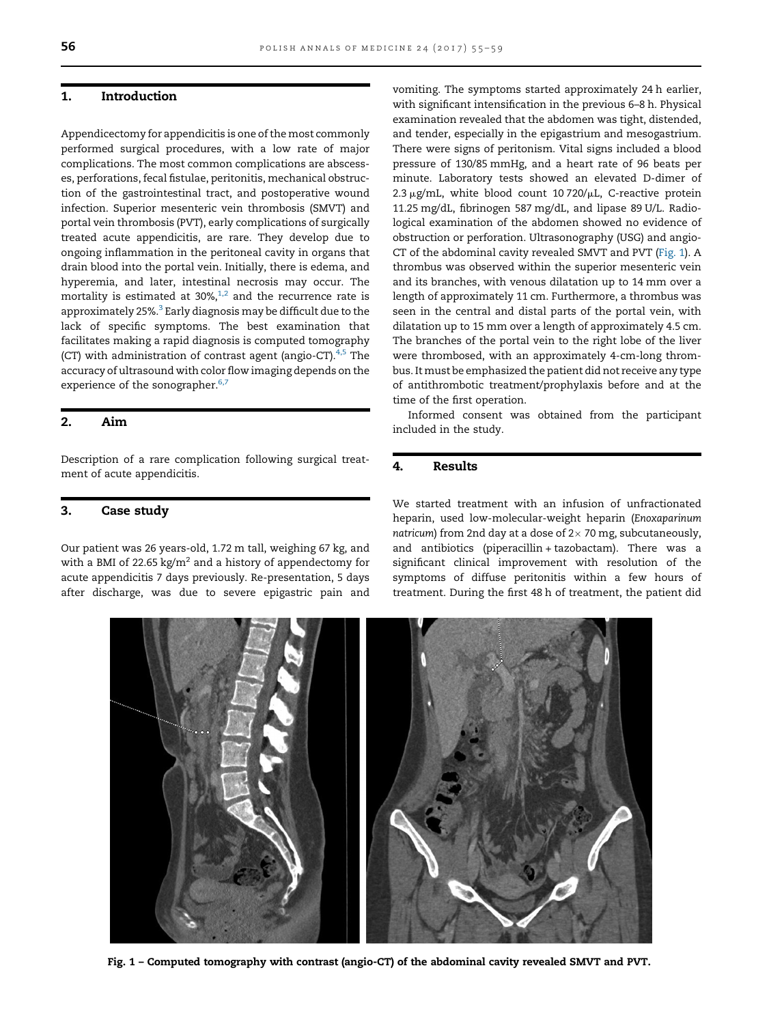## 1. Introduction

Appendicectomy for appendicitis is one of the most commonly performed surgical procedures, with a low rate of major complications. The most common complications are abscesses, perforations, fecal fistulae, peritonitis, mechanical obstruction of the gastrointestinal tract, and postoperative wound infection. Superior mesenteric vein thrombosis (SMVT) and portal vein thrombosis (PVT), early complications of surgically treated acute appendicitis, are rare. They develop due to ongoing inflammation in the peritoneal cavity in organs that drain blood into the portal vein. Initially, there is edema, and hyperemia, and later, intestinal necrosis may occur. The mortality is estimated at  $30\%,^{1,2}$  $30\%,^{1,2}$  $30\%,^{1,2}$  and the recurrence rate is approximately 25%.<sup>[3](#page-3-0)</sup> Early diagnosis may be difficult due to the lack of specific symptoms. The best examination that facilitates making a rapid diagnosis is computed tomography (CT) with administration of contrast agent (angio-CT). $4,5$  The accuracy of ultrasound with color flow imaging depends on the experience of the sonographer.<sup>[6,7](#page-3-0)</sup>

## 2. Aim

Description of a rare complication following surgical treatment of acute appendicitis.

## 3. Case study

Our patient was 26 years-old, 1.72 m tall, weighing 67 kg, and with a BMI of 22.65 kg/ $m^2$  and a history of appendectomy for acute appendicitis 7 days previously. Re-presentation, 5 days after discharge, was due to severe epigastric pain and

vomiting. The symptoms started approximately 24 h earlier, with significant intensification in the previous 6–8 h. Physical examination revealed that the abdomen was tight, distended, and tender, especially in the epigastrium and mesogastrium. There were signs of peritonism. Vital signs included a blood pressure of 130/85 mmHg, and a heart rate of 96 beats per minute. Laboratory tests showed an elevated D-dimer of 2.3  $\mu$ g/mL, white blood count 10 720/ $\mu$ L, C-reactive protein 11.25 mg/dL, fibrinogen 587 mg/dL, and lipase 89 U/L. Radiological examination of the abdomen showed no evidence of obstruction or perforation. Ultrasonography (USG) and angio-CT of the abdominal cavity revealed SMVT and PVT (Fig. 1). A thrombus was observed within the superior mesenteric vein and its branches, with venous dilatation up to 14 mm over a length of approximately 11 cm. Furthermore, a thrombus was seen in the central and distal parts of the portal vein, with dilatation up to 15 mm over a length of approximately 4.5 cm. The branches of the portal vein to the right lobe of the liver were thrombosed, with an approximately 4-cm-long thrombus. It must be emphasized the patient did not receive any type of antithrombotic treatment/prophylaxis before and at the time of the first operation.

Informed consent was obtained from the participant included in the study.

#### 4. Results

We started treatment with an infusion of unfractionated heparin, used low-molecular-weight heparin (Enoxaparinum natricum) from 2nd day at a dose of  $2 \times 70$  mg, subcutaneously, and antibiotics (piperacillin + tazobactam). There was a significant clinical improvement with resolution of the symptoms of diffuse peritonitis within a few hours of treatment. During the first 48 h of treatment, the patient did



Fig. 1 – Computed tomography with contrast (angio-CT) of the abdominal cavity revealed SMVT and PVT.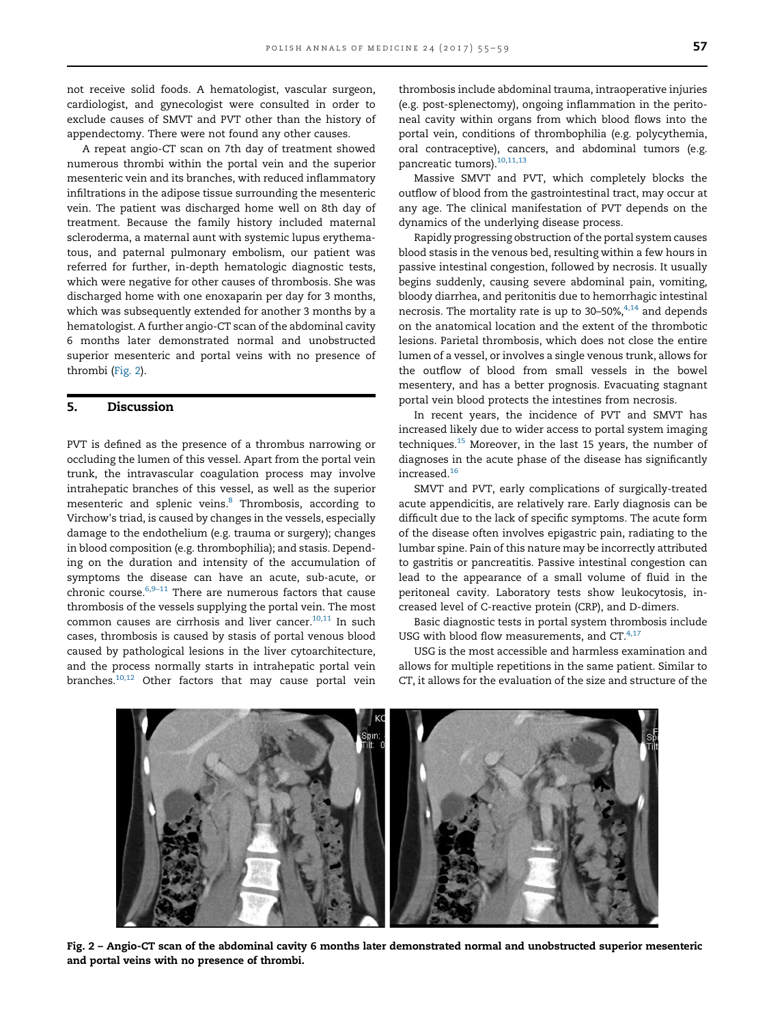not receive solid foods. A hematologist, vascular surgeon, cardiologist, and gynecologist were consulted in order to exclude causes of SMVT and PVT other than the history of appendectomy. There were not found any other causes.

A repeat angio-CT scan on 7th day of treatment showed numerous thrombi within the portal vein and the superior mesenteric vein and its branches, with reduced inflammatory infiltrations in the adipose tissue surrounding the mesenteric vein. The patient was discharged home well on 8th day of treatment. Because the family history included maternal scleroderma, a maternal aunt with systemic lupus erythematous, and paternal pulmonary embolism, our patient was referred for further, in-depth hematologic diagnostic tests, which were negative for other causes of thrombosis. She was discharged home with one enoxaparin per day for 3 months, which was subsequently extended for another 3 months by a hematologist. A further angio-CT scan of the abdominal cavity 6 months later demonstrated normal and unobstructed superior mesenteric and portal veins with no presence of thrombi (Fig. 2).

#### 5. Discussion

PVT is defined as the presence of a thrombus narrowing or occluding the lumen of this vessel. Apart from the portal vein trunk, the intravascular coagulation process may involve intrahepatic branches of this vessel, as well as the superior mesenteric and splenic veins.<sup>8</sup> Thrombosis, according to Virchow's triad, is caused by changes in the vessels, especially damage to the endothelium (e.g. trauma or surgery); changes in blood composition (e.g. thrombophilia); and stasis. Depending on the duration and intensity of the accumulation of symptoms the disease can have an acute, sub-acute, or chronic course. $6,9-11$  There are numerous factors that cause thrombosis of the vessels supplying the portal vein. The most common causes are cirrhosis and liver cancer. $10,11$  In such cases, thrombosis is caused by stasis of portal venous blood caused by pathological lesions in the liver cytoarchitecture, and the process normally starts in intrahepatic portal vein branches.<sup>[10,12](#page-4-0)</sup> Other factors that may cause portal vein

thrombosis include abdominal trauma, intraoperative injuries (e.g. post-splenectomy), ongoing inflammation in the peritoneal cavity within organs from which blood flows into the portal vein, conditions of thrombophilia (e.g. polycythemia, oral contraceptive), cancers, and abdominal tumors (e.g. pancreatic tumors).<sup>10,11,13</sup>

Massive SMVT and PVT, which completely blocks the outflow of blood from the gastrointestinal tract, may occur at any age. The clinical manifestation of PVT depends on the dynamics of the underlying disease process.

Rapidly progressing obstruction of the portal system causes blood stasis in the venous bed, resulting within a few hours in passive intestinal congestion, followed by necrosis. It usually begins suddenly, causing severe abdominal pain, vomiting, bloody diarrhea, and peritonitis due to hemorrhagic intestinal necrosis. The mortality rate is up to  $30-50\%$ ,  $4,14$  and depends on the anatomical location and the extent of the thrombotic lesions. Parietal thrombosis, which does not close the entire lumen of a vessel, or involves a single venous trunk, allows for the outflow of blood from small vessels in the bowel mesentery, and has a better prognosis. Evacuating stagnant portal vein blood protects the intestines from necrosis.

In recent years, the incidence of PVT and SMVT has increased likely due to wider access to portal system imaging techniques[.15](#page-4-0) Moreover, in the last 15 years, the number of diagnoses in the acute phase of the disease has significantly increased.[16](#page-4-0)

SMVT and PVT, early complications of surgically-treated acute appendicitis, are relatively rare. Early diagnosis can be difficult due to the lack of specific symptoms. The acute form of the disease often involves epigastric pain, radiating to the lumbar spine. Pain of this nature may be incorrectly attributed to gastritis or pancreatitis. Passive intestinal congestion can lead to the appearance of a small volume of fluid in the peritoneal cavity. Laboratory tests show leukocytosis, increased level of C-reactive protein (CRP), and D-dimers.

Basic diagnostic tests in portal system thrombosis include USG with blood flow measurements, and  $CT.^{4,17}$ 

USG is the most accessible and harmless examination and allows for multiple repetitions in the same patient. Similar to CT, it allows for the evaluation of the size and structure of the



Fig. 2 – Angio-CT scan of the abdominal cavity 6 months later demonstrated normal and unobstructed superior mesenteric and portal veins with no presence of thrombi.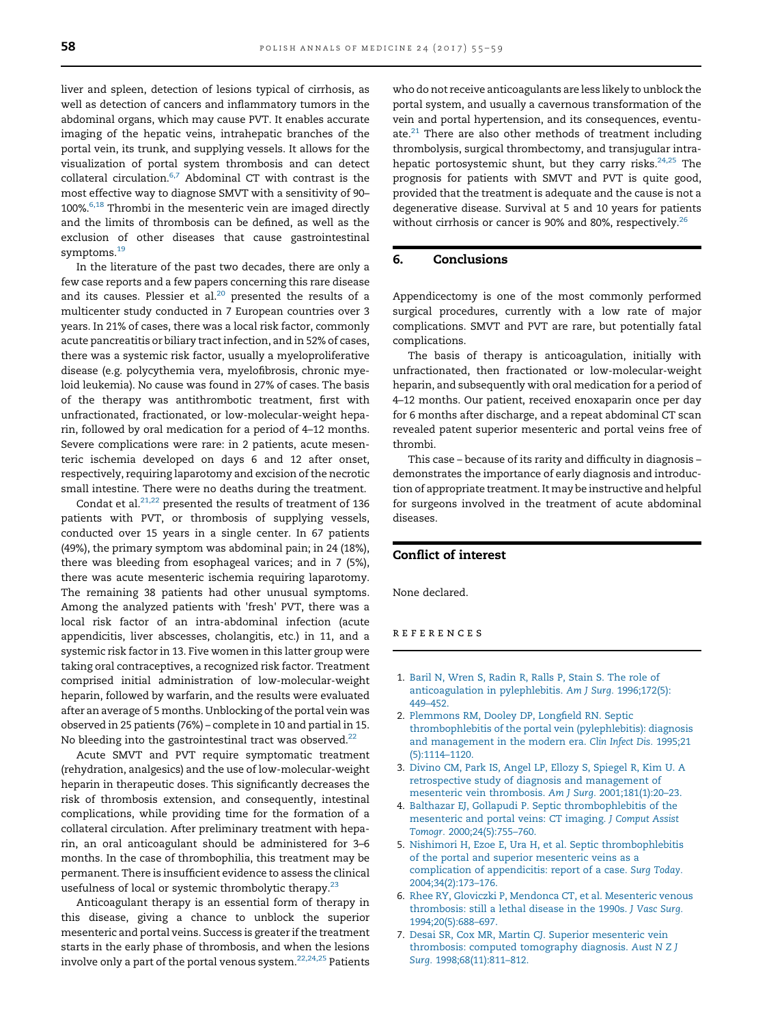<span id="page-3-0"></span>liver and spleen, detection of lesions typical of cirrhosis, as well as detection of cancers and inflammatory tumors in the abdominal organs, which may cause PVT. It enables accurate imaging of the hepatic veins, intrahepatic branches of the portal vein, its trunk, and supplying vessels. It allows for the visualization of portal system thrombosis and can detect collateral circulation. $6,7$  Abdominal CT with contrast is the most effective way to diagnose SMVT with a sensitivity of 90–  $100\%$ <sup>6,18</sup> Thrombi in the mesenteric vein are imaged directly and the limits of thrombosis can be defined, as well as the exclusion of other diseases that cause gastrointestinal symptoms.<sup>[19](#page-4-0)</sup>

In the literature of the past two decades, there are only a few case reports and a few papers concerning this rare disease and its causes. Plessier et al. $20$  presented the results of a multicenter study conducted in 7 European countries over 3 years. In 21% of cases, there was a local risk factor, commonly acute pancreatitis or biliary tract infection, and in 52% of cases, there was a systemic risk factor, usually a myeloproliferative disease (e.g. polycythemia vera, myelofibrosis, chronic myeloid leukemia). No cause was found in 27% of cases. The basis of the therapy was antithrombotic treatment, first with unfractionated, fractionated, or low-molecular-weight heparin, followed by oral medication for a period of 4–12 months. Severe complications were rare: in 2 patients, acute mesenteric ischemia developed on days 6 and 12 after onset, respectively, requiring laparotomy and excision of the necrotic small intestine. There were no deaths during the treatment.

Condat et al. $^{21,22}$  $^{21,22}$  $^{21,22}$  presented the results of treatment of 136 patients with PVT, or thrombosis of supplying vessels, conducted over 15 years in a single center. In 67 patients (49%), the primary symptom was abdominal pain; in 24 (18%), there was bleeding from esophageal varices; and in 7 (5%), there was acute mesenteric ischemia requiring laparotomy. The remaining 38 patients had other unusual symptoms. Among the analyzed patients with 'fresh' PVT, there was a local risk factor of an intra-abdominal infection (acute appendicitis, liver abscesses, cholangitis, etc.) in 11, and a systemic risk factor in 13. Five women in this latter group were taking oral contraceptives, a recognized risk factor. Treatment comprised initial administration of low-molecular-weight heparin, followed by warfarin, and the results were evaluated after an average of 5 months. Unblocking of the portal vein was observed in 25 patients (76%) – complete in 10 and partial in 15. No bleeding into the gastrointestinal tract was observed. $22$ 

Acute SMVT and PVT require symptomatic treatment (rehydration, analgesics) and the use of low-molecular-weight heparin in therapeutic doses. This significantly decreases the risk of thrombosis extension, and consequently, intestinal complications, while providing time for the formation of a collateral circulation. After preliminary treatment with heparin, an oral anticoagulant should be administered for 3–6 months. In the case of thrombophilia, this treatment may be permanent. There is insufficient evidence to assess the clinical usefulness of local or systemic thrombolytic therapy.<sup>[23](#page-4-0)</sup>

Anticoagulant therapy is an essential form of therapy in this disease, giving a chance to unblock the superior mesenteric and portal veins. Success is greater if the treatment starts in the early phase of thrombosis, and when the lesions involve only a part of the portal venous system. $22,24,25$  Patients who do not receive anticoagulants are less likely to unblock the portal system, and usually a cavernous transformation of the vein and portal hypertension, and its consequences, eventuate. $21$  There are also other methods of treatment including thrombolysis, surgical thrombectomy, and transjugular intrahepatic portosystemic shunt, but they carry risks. $24,25$  The prognosis for patients with SMVT and PVT is quite good, provided that the treatment is adequate and the cause is not a degenerative disease. Survival at 5 and 10 years for patients without cirrhosis or cancer is 90% and 80%, respectively.<sup>[26](#page-4-0)</sup>

### 6. Conclusions

Appendicectomy is one of the most commonly performed surgical procedures, currently with a low rate of major complications. SMVT and PVT are rare, but potentially fatal complications.

The basis of therapy is anticoagulation, initially with unfractionated, then fractionated or low-molecular-weight heparin, and subsequently with oral medication for a period of 4–12 months. Our patient, received enoxaparin once per day for 6 months after discharge, and a repeat abdominal CT scan revealed patent superior mesenteric and portal veins free of thrombi.

This case – because of its rarity and difficulty in diagnosis – demonstrates the importance of early diagnosis and introduction of appropriate treatment. It may be instructive and helpful for surgeons involved in the treatment of acute abdominal diseases.

#### Conflict of interest

None declared.

#### references

- 1. [Baril N, Wren S, Radin R, Ralls P, Stain S. The role of](http://refhub.elsevier.com/S1230-8013(16)30043-1/sbref0005) [anticoagulation in pylephlebitis.](http://refhub.elsevier.com/S1230-8013(16)30043-1/sbref0005) Am J Surg. 1996;172(5): [449](http://refhub.elsevier.com/S1230-8013(16)30043-1/sbref0005)–452.
- 2. [Plemmons RM, Dooley DP, Long](http://refhub.elsevier.com/S1230-8013(16)30043-1/sbref0010)field RN. Septic [thrombophlebitis of the portal vein \(pylephlebitis\): diagnosis](http://refhub.elsevier.com/S1230-8013(16)30043-1/sbref0010) [and management in the modern era.](http://refhub.elsevier.com/S1230-8013(16)30043-1/sbref0010) Clin Infect Dis. 1995;21 [\(5\):1114](http://refhub.elsevier.com/S1230-8013(16)30043-1/sbref0010)–1120.
- 3. [Divino CM, Park IS, Angel LP, Ellozy S, Spiegel R, Kim U. A](http://refhub.elsevier.com/S1230-8013(16)30043-1/sbref0015) [retrospective study of diagnosis and management of](http://refhub.elsevier.com/S1230-8013(16)30043-1/sbref0015) [mesenteric vein thrombosis.](http://refhub.elsevier.com/S1230-8013(16)30043-1/sbref0015) Am J Surg. 2001;181(1):20–23.
- 4. [Balthazar EJ, Gollapudi P. Septic thrombophlebitis of the](http://refhub.elsevier.com/S1230-8013(16)30043-1/sbref0020) [mesenteric and portal veins: CT imaging.](http://refhub.elsevier.com/S1230-8013(16)30043-1/sbref0020) J Comput Assist Tomogr. [2000;24\(5\):755](http://refhub.elsevier.com/S1230-8013(16)30043-1/sbref0020)–760.
- 5. [Nishimori H, Ezoe E, Ura H, et al. Septic thrombophlebitis](http://refhub.elsevier.com/S1230-8013(16)30043-1/sbref0025) [of the portal and superior mesenteric veins as a](http://refhub.elsevier.com/S1230-8013(16)30043-1/sbref0025) [complication of appendicitis: report of a case.](http://refhub.elsevier.com/S1230-8013(16)30043-1/sbref0025) Surg Today. [2004;34\(2\):173](http://refhub.elsevier.com/S1230-8013(16)30043-1/sbref0025)–176.
- 6. [Rhee RY, Gloviczki P, Mendonca CT, et al. Mesenteric venous](http://refhub.elsevier.com/S1230-8013(16)30043-1/sbref0030) [thrombosis: still a lethal disease in the 1990s.](http://refhub.elsevier.com/S1230-8013(16)30043-1/sbref0030) J Vasc Surg. [1994;20\(5\):688](http://refhub.elsevier.com/S1230-8013(16)30043-1/sbref0030)–697.
- 7. [Desai SR, Cox MR, Martin CJ. Superior mesenteric vein](http://refhub.elsevier.com/S1230-8013(16)30043-1/sbref0035) [thrombosis: computed tomography diagnosis.](http://refhub.elsevier.com/S1230-8013(16)30043-1/sbref0035) Aust N Z J Surg. [1998;68\(11\):811](http://refhub.elsevier.com/S1230-8013(16)30043-1/sbref0035)–812.